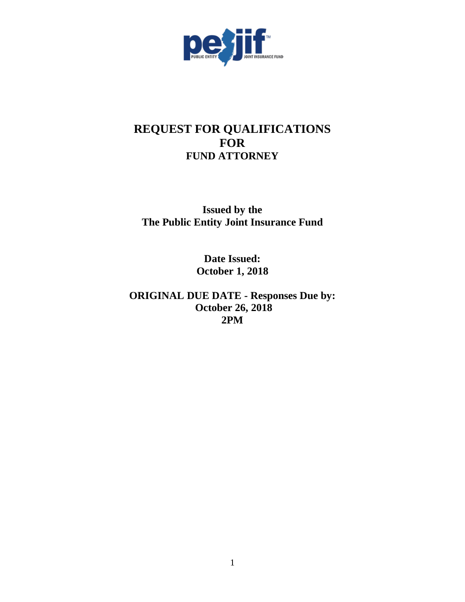

# **REQUEST FOR QUALIFICATIONS FOR FUND ATTORNEY**

**Issued by the The Public Entity Joint Insurance Fund**

> **Date Issued: October 1, 2018**

**ORIGINAL DUE DATE - Responses Due by: October 26, 2018 2PM**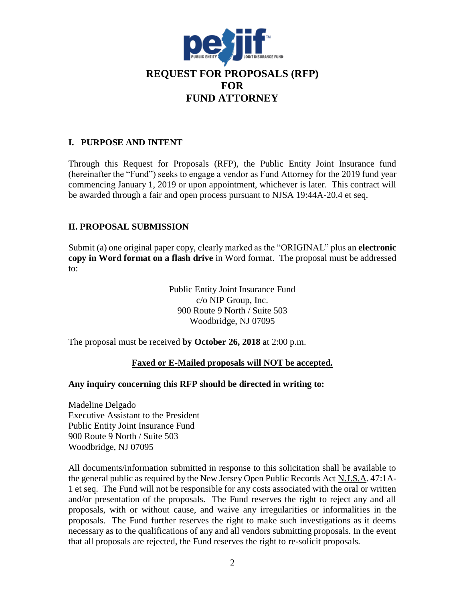

### **I. PURPOSE AND INTENT**

Through this Request for Proposals (RFP), the Public Entity Joint Insurance fund (hereinafter the "Fund") seeks to engage a vendor as Fund Attorney for the 2019 fund year commencing January 1, 2019 or upon appointment, whichever is later. This contract will be awarded through a fair and open process pursuant to NJSA 19:44A-20.4 et seq.

# **II. PROPOSAL SUBMISSION**

Submit (a) one original paper copy, clearly marked as the "ORIGINAL" plus an **electronic copy in Word format on a flash drive** in Word format. The proposal must be addressed to:

> Public Entity Joint Insurance Fund c/o NIP Group, Inc. 900 Route 9 North / Suite 503 Woodbridge, NJ 07095

The proposal must be received **by October 26, 2018** at 2:00 p.m.

# **Faxed or E-Mailed proposals will NOT be accepted.**

#### **Any inquiry concerning this RFP should be directed in writing to:**

Madeline Delgado Executive Assistant to the President Public Entity Joint Insurance Fund 900 Route 9 North / Suite 503 Woodbridge, NJ 07095

All documents/information submitted in response to this solicitation shall be available to the general public as required by the New Jersey Open Public Records Act N.J.S.A. 47:1A-1 et seq. The Fund will not be responsible for any costs associated with the oral or written and/or presentation of the proposals. The Fund reserves the right to reject any and all proposals, with or without cause, and waive any irregularities or informalities in the proposals. The Fund further reserves the right to make such investigations as it deems necessary as to the qualifications of any and all vendors submitting proposals. In the event that all proposals are rejected, the Fund reserves the right to re-solicit proposals.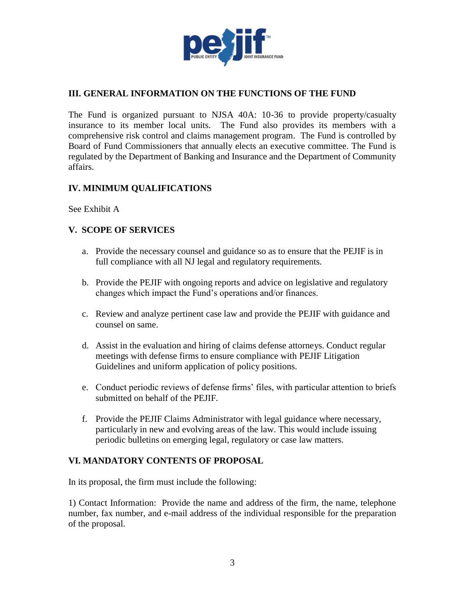

# **III. GENERAL INFORMATION ON THE FUNCTIONS OF THE FUND**

The Fund is organized pursuant to NJSA 40A: 10-36 to provide property/casualty insurance to its member local units. The Fund also provides its members with a comprehensive risk control and claims management program. The Fund is controlled by Board of Fund Commissioners that annually elects an executive committee. The Fund is regulated by the Department of Banking and Insurance and the Department of Community affairs.

# **IV. MINIMUM QUALIFICATIONS**

See Exhibit A

#### **V. SCOPE OF SERVICES**

- a. Provide the necessary counsel and guidance so as to ensure that the PEJIF is in full compliance with all NJ legal and regulatory requirements.
- b. Provide the PEJIF with ongoing reports and advice on legislative and regulatory changes which impact the Fund's operations and/or finances.
- c. Review and analyze pertinent case law and provide the PEJIF with guidance and counsel on same.
- d. Assist in the evaluation and hiring of claims defense attorneys. Conduct regular meetings with defense firms to ensure compliance with PEJIF Litigation Guidelines and uniform application of policy positions.
- e. Conduct periodic reviews of defense firms' files, with particular attention to briefs submitted on behalf of the PEJIF.
- f. Provide the PEJIF Claims Administrator with legal guidance where necessary, particularly in new and evolving areas of the law. This would include issuing periodic bulletins on emerging legal, regulatory or case law matters.

#### **VI. MANDATORY CONTENTS OF PROPOSAL**

In its proposal, the firm must include the following:

1) Contact Information: Provide the name and address of the firm, the name, telephone number, fax number, and e-mail address of the individual responsible for the preparation of the proposal.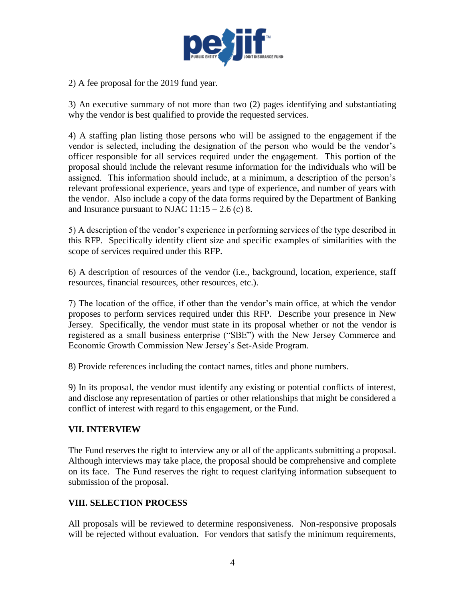

2) A fee proposal for the 2019 fund year.

3) An executive summary of not more than two (2) pages identifying and substantiating why the vendor is best qualified to provide the requested services.

4) A staffing plan listing those persons who will be assigned to the engagement if the vendor is selected, including the designation of the person who would be the vendor's officer responsible for all services required under the engagement. This portion of the proposal should include the relevant resume information for the individuals who will be assigned. This information should include, at a minimum, a description of the person's relevant professional experience, years and type of experience, and number of years with the vendor. Also include a copy of the data forms required by the Department of Banking and Insurance pursuant to NJAC  $11:15 - 2.6$  (c) 8.

5) A description of the vendor's experience in performing services of the type described in this RFP. Specifically identify client size and specific examples of similarities with the scope of services required under this RFP.

6) A description of resources of the vendor (i.e., background, location, experience, staff resources, financial resources, other resources, etc.).

7) The location of the office, if other than the vendor's main office, at which the vendor proposes to perform services required under this RFP. Describe your presence in New Jersey. Specifically, the vendor must state in its proposal whether or not the vendor is registered as a small business enterprise ("SBE") with the New Jersey Commerce and Economic Growth Commission New Jersey's Set-Aside Program.

8) Provide references including the contact names, titles and phone numbers.

9) In its proposal, the vendor must identify any existing or potential conflicts of interest, and disclose any representation of parties or other relationships that might be considered a conflict of interest with regard to this engagement, or the Fund.

# **VII. INTERVIEW**

The Fund reserves the right to interview any or all of the applicants submitting a proposal. Although interviews may take place, the proposal should be comprehensive and complete on its face. The Fund reserves the right to request clarifying information subsequent to submission of the proposal.

#### **VIII. SELECTION PROCESS**

All proposals will be reviewed to determine responsiveness. Non-responsive proposals will be rejected without evaluation. For vendors that satisfy the minimum requirements,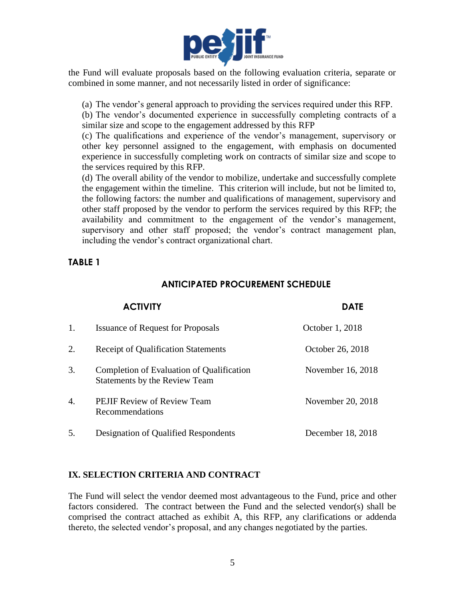

the Fund will evaluate proposals based on the following evaluation criteria, separate or combined in some manner, and not necessarily listed in order of significance:

(a) The vendor's general approach to providing the services required under this RFP.

(b) The vendor's documented experience in successfully completing contracts of a similar size and scope to the engagement addressed by this RFP

(c) The qualifications and experience of the vendor's management, supervisory or other key personnel assigned to the engagement, with emphasis on documented experience in successfully completing work on contracts of similar size and scope to the services required by this RFP.

(d) The overall ability of the vendor to mobilize, undertake and successfully complete the engagement within the timeline. This criterion will include, but not be limited to, the following factors: the number and qualifications of management, supervisory and other staff proposed by the vendor to perform the services required by this RFP; the availability and commitment to the engagement of the vendor's management, supervisory and other staff proposed; the vendor's contract management plan, including the vendor's contract organizational chart.

# **TABLE 1**

# **ANTICIPATED PROCUREMENT SCHEDULE**

| <b>ACTIVITY</b> |                                                                                   | <b>DATE</b>       |  |
|-----------------|-----------------------------------------------------------------------------------|-------------------|--|
| 1.              | <b>Issuance of Request for Proposals</b>                                          | October 1, 2018   |  |
| 2.              | <b>Receipt of Qualification Statements</b>                                        | October 26, 2018  |  |
| 3.              | Completion of Evaluation of Qualification<br><b>Statements by the Review Team</b> | November 16, 2018 |  |
| 4.              | <b>PEJIF Review of Review Team</b><br>Recommendations                             | November 20, 2018 |  |
| 5.              | Designation of Qualified Respondents                                              | December 18, 2018 |  |

# **IX. SELECTION CRITERIA AND CONTRACT**

The Fund will select the vendor deemed most advantageous to the Fund, price and other factors considered. The contract between the Fund and the selected vendor(s) shall be comprised the contract attached as exhibit A, this RFP, any clarifications or addenda thereto, the selected vendor's proposal, and any changes negotiated by the parties.